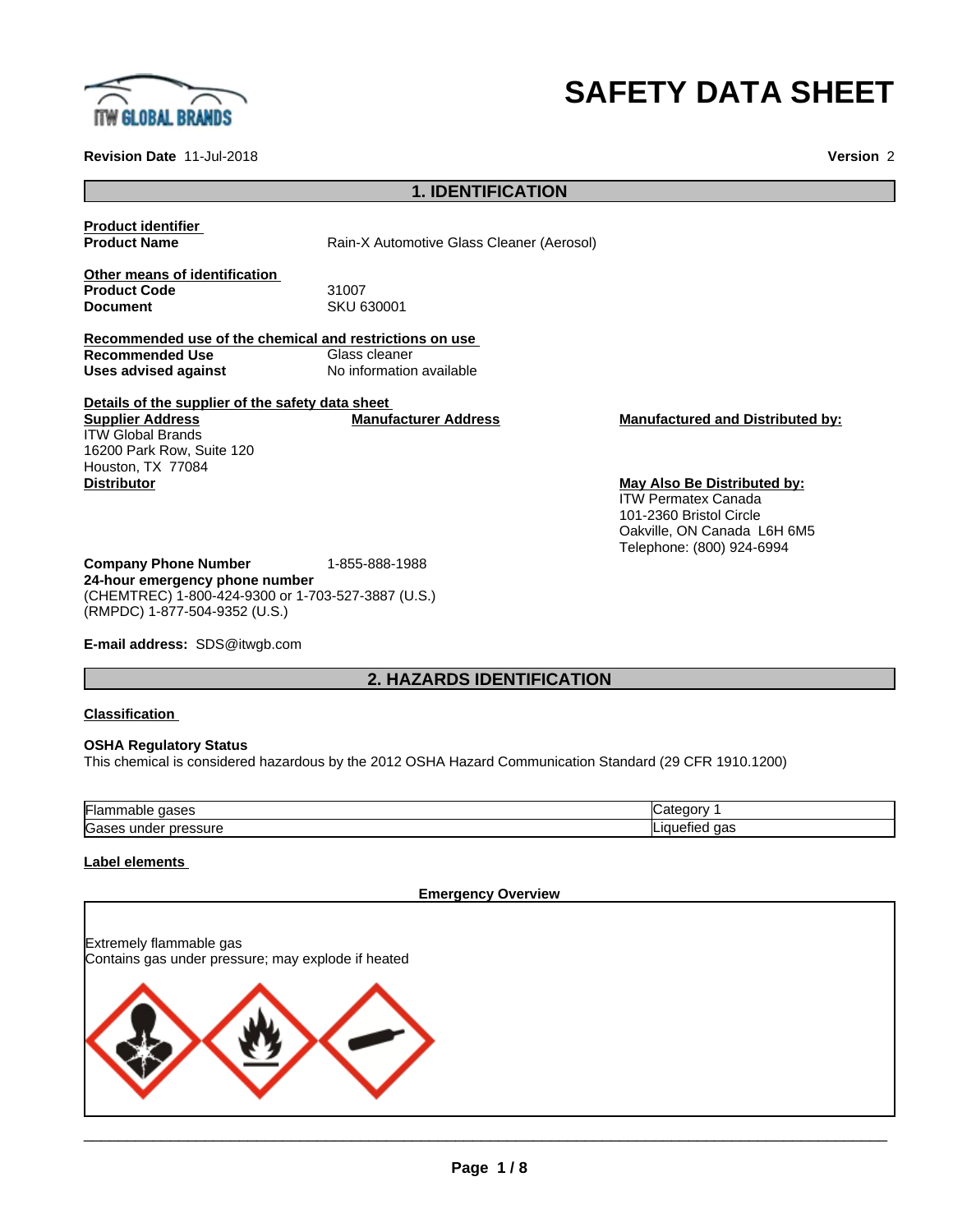

# **SAFETY DATA SHEET**

ITW Permatex Canada 101-2360 Bristol Circle

Oakville, ON Canada L6H 6M5 Telephone: (800) 924-6994

**Revision Date** 11-Jul-2018 **Version** 2

# **1. IDENTIFICATION**

**Product identifier**

**Product Name** Rain-X Automotive Glass Cleaner (Aerosol)

**Other means of identification Product Code 51007**<br> **Document** SKU 6

**Document** SKU 630001

**Recommended use of the chemical and restrictions on use Recommended Use**<br>**Uses advised against No information available** 

**Details of the supplier of the safety data sheet Supplier Address** ITW Global Brands 16200 Park Row, Suite 120 Houston, TX 77084 **Manufacturer Address Manufactured and Distributed by: Distributor May Also Be Distributed by:**

**Company Phone Number** 1-855-888-1988 **24-hour emergency phone number** (CHEMTREC) 1-800-424-9300 or 1-703-527-3887 (U.S.) (RMPDC) 1-877-504-9352 (U.S.)

**E-mail address:** SDS@itwgb.com

# **2. HAZARDS IDENTIFICATION**

#### **Classification**

#### **OSHA Regulatory Status**

This chemical is considered hazardous by the 2012 OSHA Hazard Communication Standard (29 CFR 1910.1200)

| Flan<br>$\sim$ $\sim$ $\sim$<br>⊓able<br>.<br>200a | ---<br>. 10 M                  |
|----------------------------------------------------|--------------------------------|
| Gas<br>pressure<br>unge                            | וחו<br>$\sim$<br>uas<br>- 1166 |

#### **Label elements**

#### **Emergency Overview**

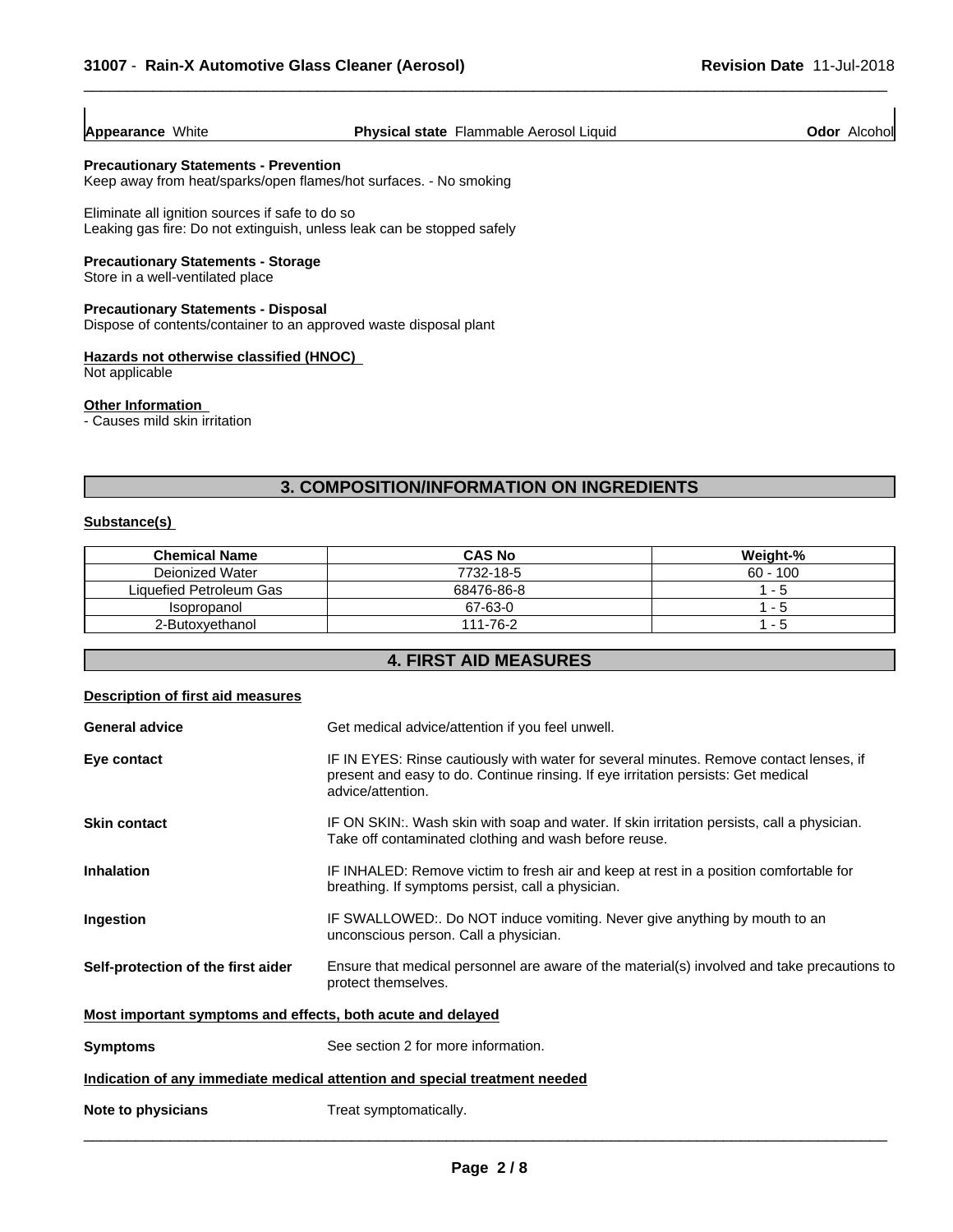#### **Appearance** White **Physical state** Flammable Aerosol Liquid **Odor** Alcohol

 $\overline{\phantom{a}}$  ,  $\overline{\phantom{a}}$  ,  $\overline{\phantom{a}}$  ,  $\overline{\phantom{a}}$  ,  $\overline{\phantom{a}}$  ,  $\overline{\phantom{a}}$  ,  $\overline{\phantom{a}}$  ,  $\overline{\phantom{a}}$  ,  $\overline{\phantom{a}}$  ,  $\overline{\phantom{a}}$  ,  $\overline{\phantom{a}}$  ,  $\overline{\phantom{a}}$  ,  $\overline{\phantom{a}}$  ,  $\overline{\phantom{a}}$  ,  $\overline{\phantom{a}}$  ,  $\overline{\phantom{a}}$ 

#### **Precautionary Statements - Prevention**

Keep away from heat/sparks/open flames/hot surfaces. - No smoking

Eliminate all ignition sources if safe to do so Leaking gas fire: Do not extinguish, unless leak can be stopped safely

#### **Precautionary Statements - Storage**

Store in a well-ventilated place

#### **Precautionary Statements - Disposal**

Dispose of contents/container to an approved waste disposal plant

#### **Hazards not otherwise classified (HNOC)**

Not applicable

#### **Other Information**

- Causes mild skin irritation

#### **3. COMPOSITION/INFORMATION ON INGREDIENTS**

#### **Substance(s)**

| <b>Chemical Name</b>    | <b>CAS No</b> | Weight-%   |
|-------------------------|---------------|------------|
| Deionized Water         | 7732-18-5     | $60 - 100$ |
| Liquefied Petroleum Gas | 68476-86-8    | - 5        |
| Isopropanol             | 67-63-0       | - 5        |
| 2-Butoxvethanol         | 111-76-2      | . .        |

# **4. FIRST AID MEASURES**

# **Description of first aid measures General advice** Get medical advice/attention if you feel unwell. **Eye contact IF IN EYES: Rinse cautiously with water for several minutes. Remove contact lenses, if** present and easy to do. Continue rinsing. If eye irritation persists: Get medical advice/attention. **Skin contact** IF ON SKIN:. Wash skin with soap and water. If skin irritation persists, call a physician. Take off contaminated clothing and wash before reuse. **Inhalation** IF INHALED: Remove victim to fresh air and keep at rest in a position comfortable for breathing. If symptoms persist, call a physician. **Ingestion IF SWALLOWED:.** Do NOT induce vomiting. Never give anything by mouth to an unconscious person. Call a physician. **Self-protection of the first aider** Ensure that medical personnel are aware of the material(s) involved and take precautions to protect themselves. **Most important symptoms and effects, both acute and delayed Symptoms** See section 2 for more information. **Indication of any immediate medical attention and special treatment needed Note to physicians** Treat symptomatically.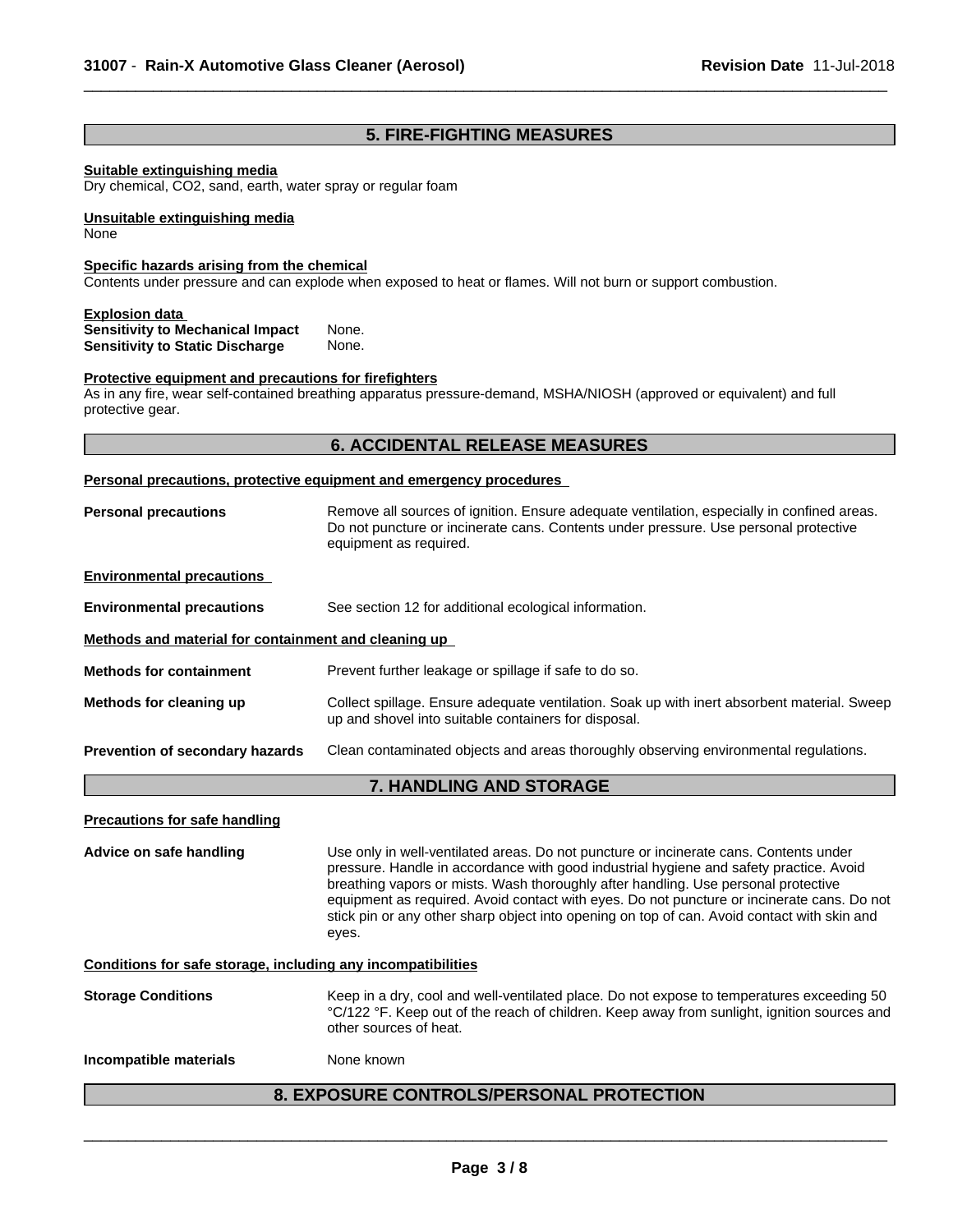# **5. FIRE-FIGHTING MEASURES**

 $\overline{\phantom{a}}$  ,  $\overline{\phantom{a}}$  ,  $\overline{\phantom{a}}$  ,  $\overline{\phantom{a}}$  ,  $\overline{\phantom{a}}$  ,  $\overline{\phantom{a}}$  ,  $\overline{\phantom{a}}$  ,  $\overline{\phantom{a}}$  ,  $\overline{\phantom{a}}$  ,  $\overline{\phantom{a}}$  ,  $\overline{\phantom{a}}$  ,  $\overline{\phantom{a}}$  ,  $\overline{\phantom{a}}$  ,  $\overline{\phantom{a}}$  ,  $\overline{\phantom{a}}$  ,  $\overline{\phantom{a}}$ 

#### **Suitable extinguishing media**

Dry chemical, CO2, sand, earth, water spray or regular foam

**Unsuitable extinguishing media** None

#### **Specific hazards arising from the chemical**

Contents under pressure and can explode when exposed to heat or flames. Will not burn or support combustion.

#### **Explosion data**

| <b>Sensitivity to Mechanical Impact</b> | None. |
|-----------------------------------------|-------|
| <b>Sensitivity to Static Discharge</b>  | None. |

#### **Protective equipment and precautions for firefighters**

As in any fire, wear self-contained breathing apparatus pressure-demand, MSHA/NIOSH (approved or equivalent) and full protective gear.

# **6. ACCIDENTAL RELEASE MEASURES**

#### **Personal precautions, protective equipment and emergency procedures**

| Remove all sources of ignition. Ensure adequate ventilation, especially in confined areas.<br><b>Personal precautions</b><br>Do not puncture or incinerate cans. Contents under pressure. Use personal protective<br>equipment as required. |                                                                                                                                                                                                                                                                                                                                                                                                                                                                             |  |  |  |  |
|---------------------------------------------------------------------------------------------------------------------------------------------------------------------------------------------------------------------------------------------|-----------------------------------------------------------------------------------------------------------------------------------------------------------------------------------------------------------------------------------------------------------------------------------------------------------------------------------------------------------------------------------------------------------------------------------------------------------------------------|--|--|--|--|
| <b>Environmental precautions</b>                                                                                                                                                                                                            |                                                                                                                                                                                                                                                                                                                                                                                                                                                                             |  |  |  |  |
| <b>Environmental precautions</b>                                                                                                                                                                                                            | See section 12 for additional ecological information.                                                                                                                                                                                                                                                                                                                                                                                                                       |  |  |  |  |
| Methods and material for containment and cleaning up                                                                                                                                                                                        |                                                                                                                                                                                                                                                                                                                                                                                                                                                                             |  |  |  |  |
| <b>Methods for containment</b>                                                                                                                                                                                                              | Prevent further leakage or spillage if safe to do so.                                                                                                                                                                                                                                                                                                                                                                                                                       |  |  |  |  |
| Collect spillage. Ensure adequate ventilation. Soak up with inert absorbent material. Sweep<br>Methods for cleaning up<br>up and shovel into suitable containers for disposal.                                                              |                                                                                                                                                                                                                                                                                                                                                                                                                                                                             |  |  |  |  |
| Prevention of secondary hazards                                                                                                                                                                                                             | Clean contaminated objects and areas thoroughly observing environmental regulations.                                                                                                                                                                                                                                                                                                                                                                                        |  |  |  |  |
|                                                                                                                                                                                                                                             | 7. HANDLING AND STORAGE                                                                                                                                                                                                                                                                                                                                                                                                                                                     |  |  |  |  |
| <b>Precautions for safe handling</b>                                                                                                                                                                                                        |                                                                                                                                                                                                                                                                                                                                                                                                                                                                             |  |  |  |  |
| Advice on safe handling                                                                                                                                                                                                                     | Use only in well-ventilated areas. Do not puncture or incinerate cans. Contents under<br>pressure. Handle in accordance with good industrial hygiene and safety practice. Avoid<br>breathing vapors or mists. Wash thoroughly after handling. Use personal protective<br>equipment as required. Avoid contact with eyes. Do not puncture or incinerate cans. Do not<br>stick pin or any other sharp object into opening on top of can. Avoid contact with skin and<br>eyes. |  |  |  |  |
| Conditions for safe storage, including any incompatibilities                                                                                                                                                                                |                                                                                                                                                                                                                                                                                                                                                                                                                                                                             |  |  |  |  |
| <b>Storage Conditions</b>                                                                                                                                                                                                                   | Keep in a dry, cool and well-ventilated place. Do not expose to temperatures exceeding 50<br>°C/122 °F. Keep out of the reach of children. Keep away from sunlight, ignition sources and<br>other sources of heat.                                                                                                                                                                                                                                                          |  |  |  |  |
| Incompatible materials                                                                                                                                                                                                                      | None known                                                                                                                                                                                                                                                                                                                                                                                                                                                                  |  |  |  |  |
|                                                                                                                                                                                                                                             | <b>8. EXPOSURE CONTROLS/PERSONAL PROTECTION</b>                                                                                                                                                                                                                                                                                                                                                                                                                             |  |  |  |  |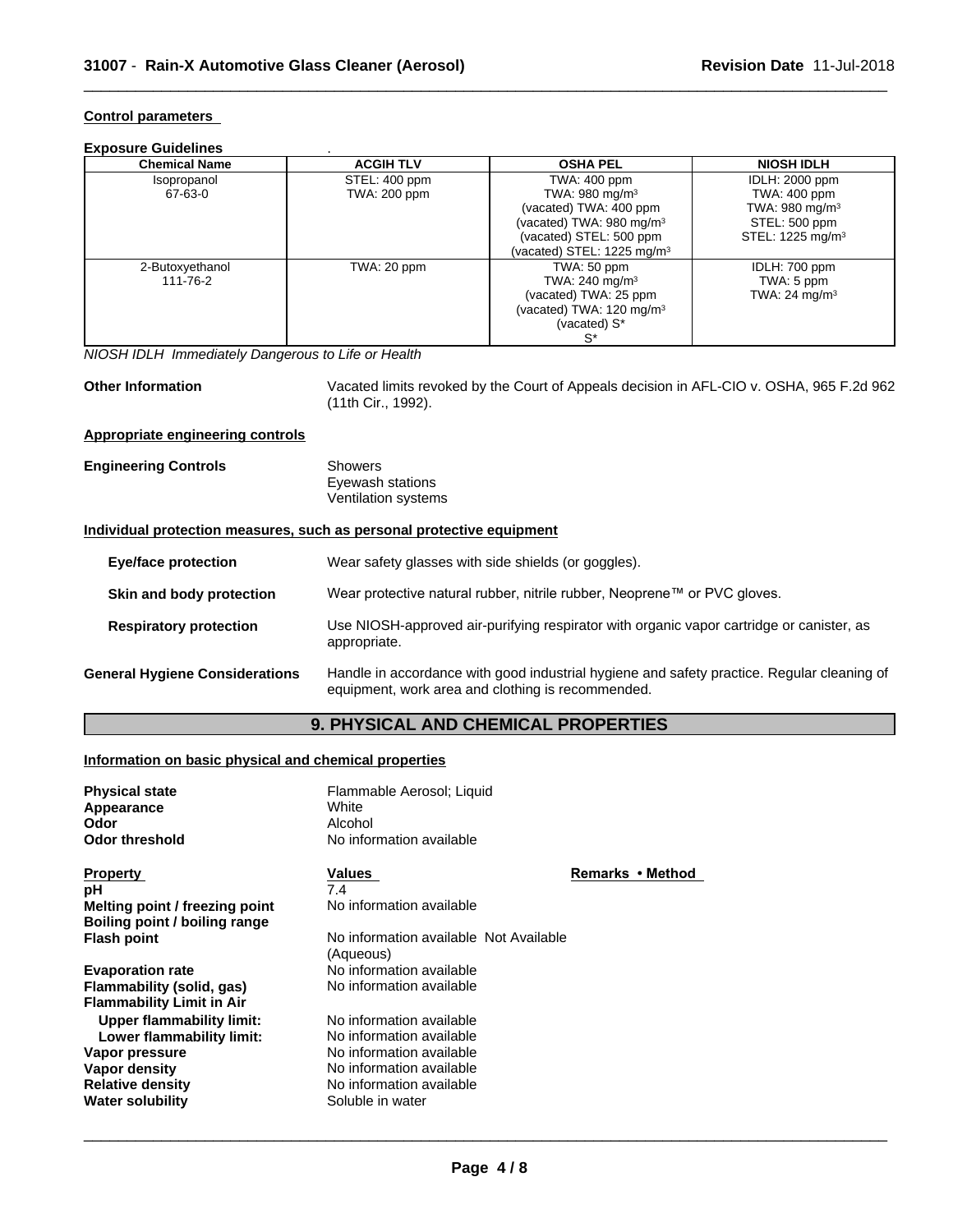#### **Control parameters**

#### **Exposure Guidelines** .

| <b>Chemical Name</b> | <b>ACGIH TLV</b> | <b>OSHA PEL</b>                      | <b>NIOSH IDLH</b>            |
|----------------------|------------------|--------------------------------------|------------------------------|
| Isopropanol          | STEL: 400 ppm    | TWA: 400 ppm                         | <b>IDLH: 2000 ppm</b>        |
| 67-63-0              | TWA: 200 ppm     | TWA: $980 \text{ mg/m}^3$            | TWA: 400 ppm                 |
|                      |                  | (vacated) TWA: 400 ppm               | TWA: 980 mg/m <sup>3</sup>   |
|                      |                  | (vacated) TWA: 980 mg/m <sup>3</sup> | STEL: 500 ppm                |
|                      |                  | (vacated) STEL: 500 ppm              | STEL: 1225 mg/m <sup>3</sup> |
|                      |                  | (vacated) STEL: 1225 mg/m $3$        |                              |
| 2-Butoxyethanol      | TWA: 20 ppm      | TWA: 50 ppm                          |                              |
| 111-76-2             |                  | TWA: 240 mg/m $3$                    | TWA: 5 ppm                   |
|                      |                  | (vacated) TWA: 25 ppm                | TWA: $24 \text{ mg/m}^3$     |
|                      |                  | (vacated) TWA: 120 mg/m <sup>3</sup> |                              |
|                      |                  | (vacated) S*                         |                              |
|                      |                  |                                      |                              |

*NIOSH IDLH Immediately Dangerous to Life or Health*

**Other Information** Vacated limits revoked by the Court of Appeals decision in AFL-CIO v.OSHA, 965 F.2d 962 (11th Cir., 1992).

 $\overline{\phantom{a}}$  ,  $\overline{\phantom{a}}$  ,  $\overline{\phantom{a}}$  ,  $\overline{\phantom{a}}$  ,  $\overline{\phantom{a}}$  ,  $\overline{\phantom{a}}$  ,  $\overline{\phantom{a}}$  ,  $\overline{\phantom{a}}$  ,  $\overline{\phantom{a}}$  ,  $\overline{\phantom{a}}$  ,  $\overline{\phantom{a}}$  ,  $\overline{\phantom{a}}$  ,  $\overline{\phantom{a}}$  ,  $\overline{\phantom{a}}$  ,  $\overline{\phantom{a}}$  ,  $\overline{\phantom{a}}$ 

#### **Appropriate engineering controls**

| <b>Engineering Controls</b> | Showers             |  |
|-----------------------------|---------------------|--|
|                             | Eyewash stations    |  |
|                             | Ventilation systems |  |

#### **Individual protection measures, such as personal protective equipment**

| <b>Eye/face protection</b>            | Wear safety glasses with side shields (or goggles).                                                                                             |
|---------------------------------------|-------------------------------------------------------------------------------------------------------------------------------------------------|
| Skin and body protection              | Wear protective natural rubber, nitrile rubber, Neoprene™ or PVC gloves.                                                                        |
| <b>Respiratory protection</b>         | Use NIOSH-approved air-purifying respirator with organic vapor cartridge or canister, as<br>appropriate.                                        |
| <b>General Hygiene Considerations</b> | Handle in accordance with good industrial hygiene and safety practice. Regular cleaning of<br>equipment, work area and clothing is recommended. |

### **9. PHYSICAL AND CHEMICAL PROPERTIES**

#### **Information on basic physical and chemical properties**

| <b>Physical state</b><br>Appearance<br>Odor<br><b>Odor threshold</b>                  | Flammable Aerosol; Liquid<br>White<br>Alcohol<br>No information available                            |                  |
|---------------------------------------------------------------------------------------|------------------------------------------------------------------------------------------------------|------------------|
| <b>Property</b>                                                                       | Values                                                                                               | Remarks • Method |
| рH                                                                                    | 7.4                                                                                                  |                  |
| Melting point / freezing point<br>Boiling point / boiling range                       | No information available                                                                             |                  |
| <b>Flash point</b>                                                                    | No information available Not Available<br>(Aqueous)                                                  |                  |
| <b>Evaporation rate</b>                                                               | No information available                                                                             |                  |
| Flammability (solid, gas)<br><b>Flammability Limit in Air</b>                         | No information available                                                                             |                  |
| Upper flammability limit:<br>Lower flammability limit:                                | No information available<br>No information available                                                 |                  |
| Vapor pressure<br>Vapor density<br><b>Relative density</b><br><b>Water solubility</b> | No information available<br>No information available<br>No information available<br>Soluble in water |                  |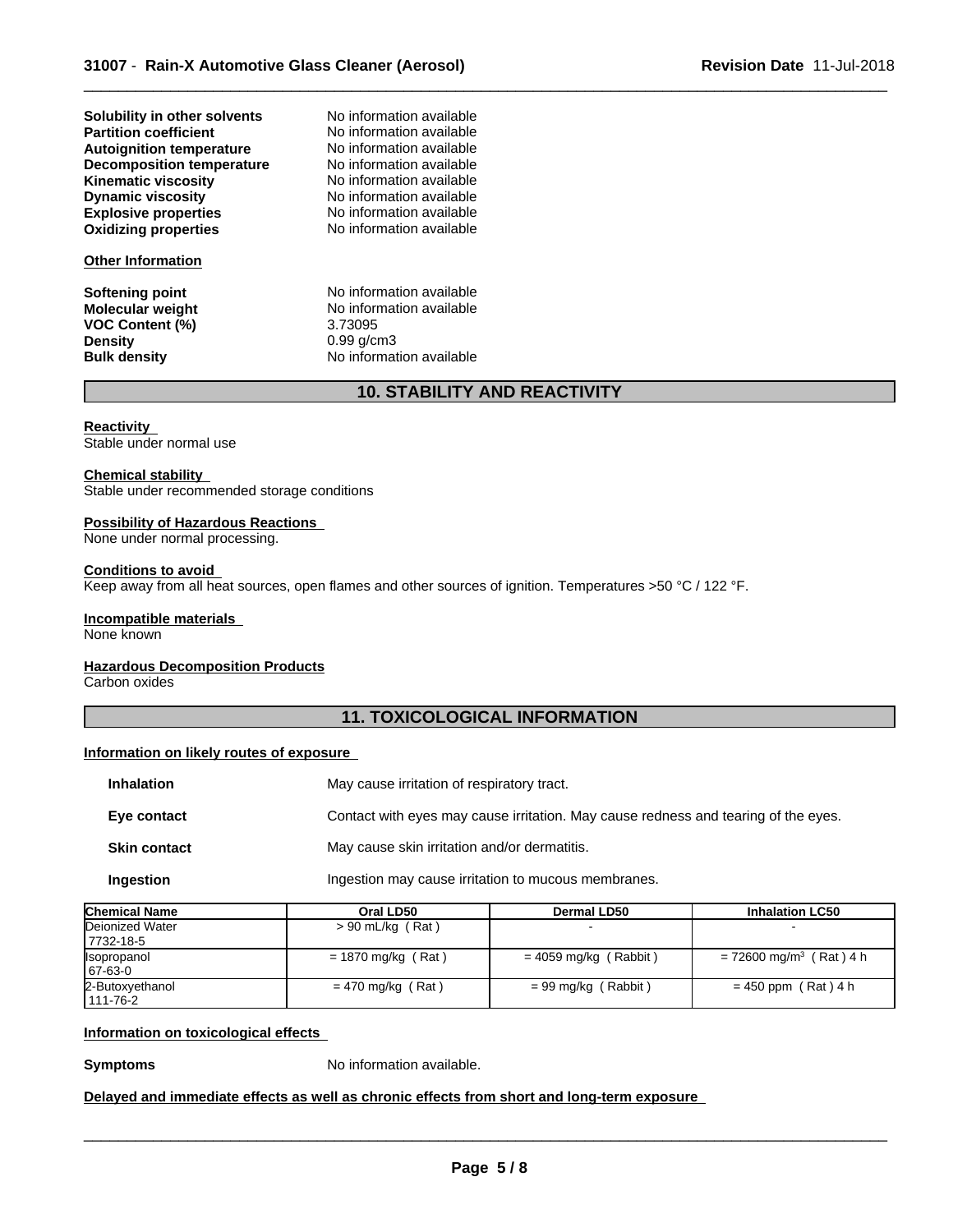| Solubility in other solvents     |
|----------------------------------|
| <b>Partition coefficient</b>     |
| <b>Autoignition temperature</b>  |
| <b>Decomposition temperature</b> |
| <b>Kinematic viscosity</b>       |
| <b>Dynamic viscosity</b>         |
| <b>Explosive properties</b>      |
| <b>Oxidizing properties</b>      |

#### **Other Information**

**VOC Content (%)**<br>Density

**Explosive properties** No information available **No information available Solubility in other solvents** No information available **No information available No information available No information available Kinematic viscosity** No information available **No information available** 

**Softening point**<br> **Molecular weight**<br> **Molecular weight**<br> **Molecular weight**<br> **Molecular weight** No information available<br>3.73095 **Density** 0.99 g/cm3 **Bulk density** No information available

# **10. STABILITY AND REACTIVITY**

 $\overline{\phantom{a}}$  ,  $\overline{\phantom{a}}$  ,  $\overline{\phantom{a}}$  ,  $\overline{\phantom{a}}$  ,  $\overline{\phantom{a}}$  ,  $\overline{\phantom{a}}$  ,  $\overline{\phantom{a}}$  ,  $\overline{\phantom{a}}$  ,  $\overline{\phantom{a}}$  ,  $\overline{\phantom{a}}$  ,  $\overline{\phantom{a}}$  ,  $\overline{\phantom{a}}$  ,  $\overline{\phantom{a}}$  ,  $\overline{\phantom{a}}$  ,  $\overline{\phantom{a}}$  ,  $\overline{\phantom{a}}$ 

#### **Reactivity**

Stable under normal use

#### **Chemical stability**

Stable under recommended storage conditions

#### **Possibility of Hazardous Reactions**

None under normal processing.

#### **Conditions to avoid**

Keep away from all heat sources, open flames and other sources of ignition. Temperatures >50 °C / 122 °F.

#### **Incompatible materials**

None known

#### **Hazardous Decomposition Products**

Carbon oxides

### **11. TOXICOLOGICAL INFORMATION**

#### **Information on likely routes of exposure**

| <b>Inhalation</b>   | May cause irritation of respiratory tract.                                         |
|---------------------|------------------------------------------------------------------------------------|
| Eye contact         | Contact with eyes may cause irritation. May cause redness and tearing of the eyes. |
| <b>Skin contact</b> | May cause skin irritation and/or dermatitis.                                       |
| Ingestion           | Ingestion may cause irritation to mucous membranes.                                |

| <b>Chemical Name</b>                  | Oral LD50            | <b>Dermal LD50</b>      | <b>Inhalation LC50</b>                |  |
|---------------------------------------|----------------------|-------------------------|---------------------------------------|--|
| Dejonized Water<br>$> 90$ mL/kg (Rat) |                      |                         |                                       |  |
| 17732-18-5                            |                      |                         |                                       |  |
| <b>Isopropanol</b>                    | $= 1870$ mg/kg (Rat) | $= 4059$ mg/kg (Rabbit) | $= 72600$ mg/m <sup>3</sup> (Rat) 4 h |  |
| 67-63-0                               |                      |                         |                                       |  |
| 2-Butoxyethanol                       | $= 470$ mg/kg (Rat)  | $= 99$ mg/kg (Rabbit)   | $= 450$ ppm (Rat) 4 h                 |  |
| 1111-76-2                             |                      |                         |                                       |  |

#### **Information on toxicological effects**

**Symptoms** No information available.

**Delayed and immediate effects as well as chronic effects from short and long-term exposure**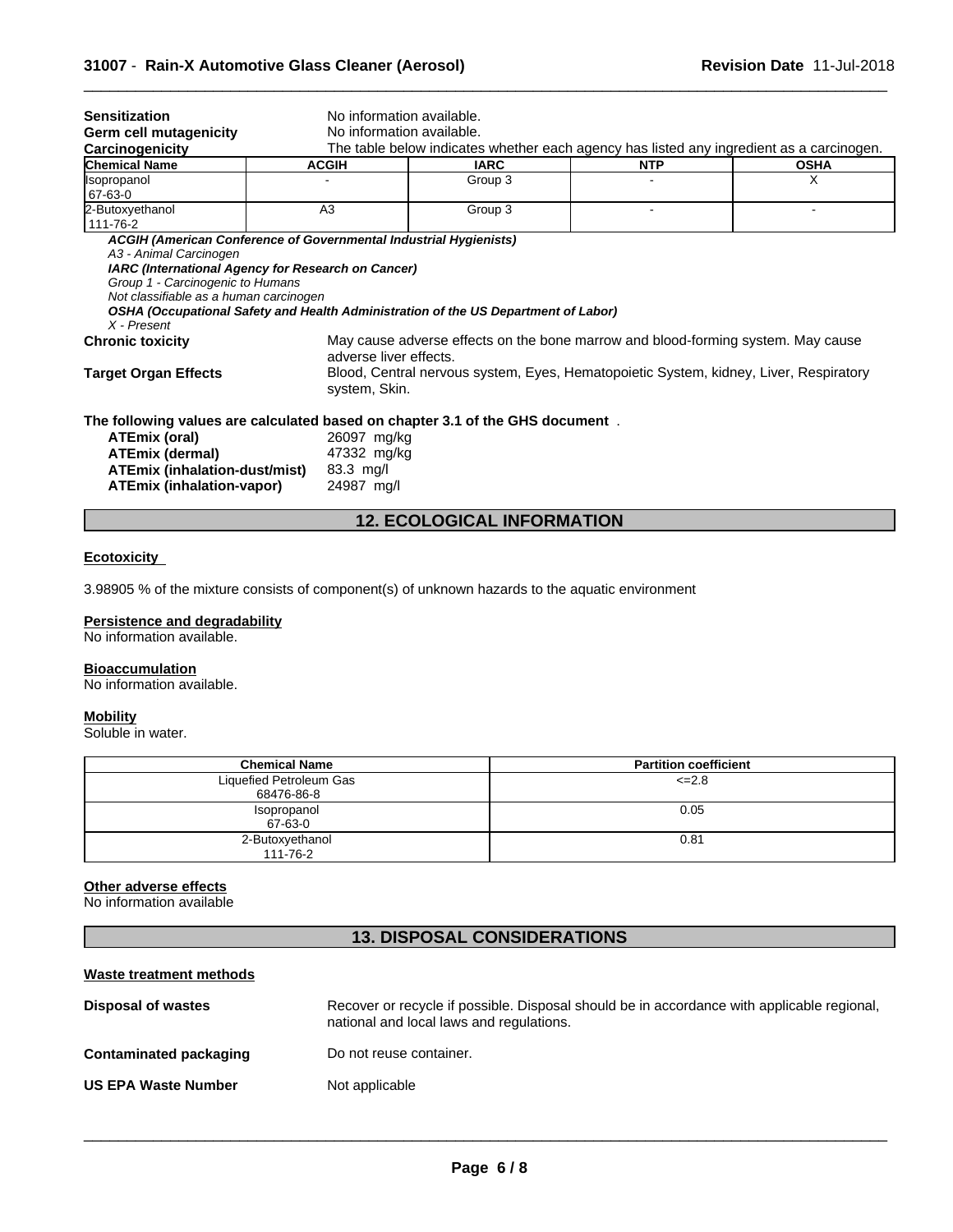| <b>Sensitization</b>                                                                                                                            | No information available.<br>No information available. |                                                                                          |            |             |
|-------------------------------------------------------------------------------------------------------------------------------------------------|--------------------------------------------------------|------------------------------------------------------------------------------------------|------------|-------------|
| <b>Germ cell mutagenicity</b><br>Carcinogenicity                                                                                                |                                                        | The table below indicates whether each agency has listed any ingredient as a carcinogen. |            |             |
| <b>Chemical Name</b>                                                                                                                            | <b>ACGIH</b>                                           | <b>IARC</b>                                                                              | <b>NTP</b> | <b>OSHA</b> |
| <b>Isopropanol</b><br>67-63-0                                                                                                                   |                                                        | Group 3                                                                                  |            | X           |
| 2-Butoxyethanol<br>111-76-2                                                                                                                     | A <sub>3</sub>                                         | Group 3                                                                                  |            |             |
| IARC (International Agency for Research on Cancer)<br>Group 1 - Carcinogenic to Humans<br>Not classifiable as a human carcinogen<br>X - Present |                                                        | OSHA (Occupational Safety and Health Administration of the US Department of Labor)       |            |             |
| May cause adverse effects on the bone marrow and blood-forming system. May cause<br><b>Chronic toxicity</b><br>adverse liver effects.           |                                                        |                                                                                          |            |             |
| <b>Target Organ Effects</b><br>Blood, Central nervous system, Eyes, Hematopoietic System, kidney, Liver, Respiratory<br>system, Skin.           |                                                        |                                                                                          |            |             |
| The following values are calculated based on chapter 3.1 of the GHS document.                                                                   |                                                        |                                                                                          |            |             |
| ATEmix (oral)                                                                                                                                   | 26097 mg/kg                                            |                                                                                          |            |             |
| ATEmix (dermal)                                                                                                                                 | 47332 mg/kg                                            |                                                                                          |            |             |
| ATEmix (inhalation-dust/mist)                                                                                                                   | $83.3$ mg/l                                            |                                                                                          |            |             |
| <b>ATEmix (inhalation-vapor)</b>                                                                                                                | 24987 mg/l                                             |                                                                                          |            |             |

 $\overline{\phantom{a}}$  ,  $\overline{\phantom{a}}$  ,  $\overline{\phantom{a}}$  ,  $\overline{\phantom{a}}$  ,  $\overline{\phantom{a}}$  ,  $\overline{\phantom{a}}$  ,  $\overline{\phantom{a}}$  ,  $\overline{\phantom{a}}$  ,  $\overline{\phantom{a}}$  ,  $\overline{\phantom{a}}$  ,  $\overline{\phantom{a}}$  ,  $\overline{\phantom{a}}$  ,  $\overline{\phantom{a}}$  ,  $\overline{\phantom{a}}$  ,  $\overline{\phantom{a}}$  ,  $\overline{\phantom{a}}$ 

# **12. ECOLOGICAL INFORMATION**

#### **Ecotoxicity**

3.98905 % of the mixture consists of component(s) of unknown hazards to the aquatic environment

#### **Persistence and degradability**

No information available.

#### **Bioaccumulation**

No information available.

### **Mobility**

Soluble in water.

| <b>Chemical Name</b>    | <b>Partition coefficient</b> |
|-------------------------|------------------------------|
| Liquefied Petroleum Gas | $\leq$ -2.8                  |
| 68476-86-8              |                              |
| Isopropanol             | 0.05                         |
| 67-63-0                 |                              |
| 2-Butoxyethanol         | 0.81                         |
| 111-76-2                |                              |

#### **Other adverse effects**

No information available

# **13. DISPOSAL CONSIDERATIONS**

| Waste treatment methods    |                                                                                                                                        |
|----------------------------|----------------------------------------------------------------------------------------------------------------------------------------|
| Disposal of wastes         | Recover or recycle if possible. Disposal should be in accordance with applicable regional,<br>national and local laws and regulations. |
| Contaminated packaging     | Do not reuse container.                                                                                                                |
| <b>US EPA Waste Number</b> | Not applicable                                                                                                                         |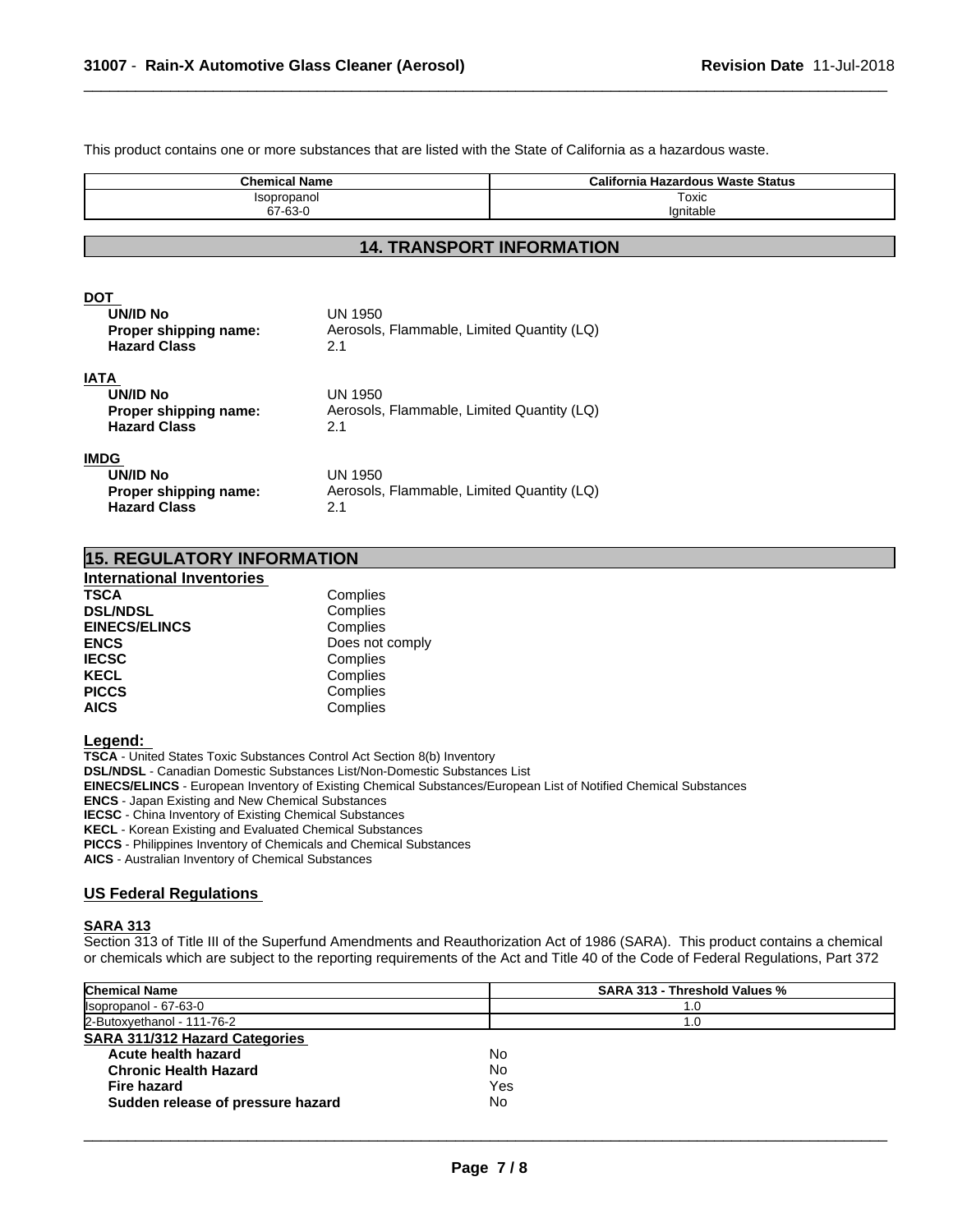This product contains one or more substances that are listed with the State of California as a hazardous waste.

| <b>Chemical Name</b> | <b>California Hazardous Waste Status</b> |
|----------------------|------------------------------------------|
| Isopropanol          | Toxic                                    |
| 67-63-0              | lanitable                                |

 $\overline{\phantom{a}}$  ,  $\overline{\phantom{a}}$  ,  $\overline{\phantom{a}}$  ,  $\overline{\phantom{a}}$  ,  $\overline{\phantom{a}}$  ,  $\overline{\phantom{a}}$  ,  $\overline{\phantom{a}}$  ,  $\overline{\phantom{a}}$  ,  $\overline{\phantom{a}}$  ,  $\overline{\phantom{a}}$  ,  $\overline{\phantom{a}}$  ,  $\overline{\phantom{a}}$  ,  $\overline{\phantom{a}}$  ,  $\overline{\phantom{a}}$  ,  $\overline{\phantom{a}}$  ,  $\overline{\phantom{a}}$ 

#### **14. TRANSPORT INFORMATION**

#### **DOT**

| <b>UN/ID No</b><br>Proper shipping name:<br><b>Hazard Class</b> | UN 1950<br>Aerosols, Flammable, Limited Quantity (LQ)<br>2.1 |  |
|-----------------------------------------------------------------|--------------------------------------------------------------|--|
| IATA                                                            |                                                              |  |
| <b>UN/ID No</b>                                                 | UN 1950                                                      |  |
| Proper shipping name:                                           | Aerosols, Flammable, Limited Quantity (LQ)                   |  |
| <b>Hazard Class</b>                                             | 2.1                                                          |  |
| IMDG                                                            |                                                              |  |
| UN/ID No                                                        | UN 1950                                                      |  |
| Proper shipping name:                                           | Aerosols, Flammable, Limited Quantity (LQ)                   |  |
| <b>Hazard Class</b>                                             | 2.1                                                          |  |

| <b>15. REGULATORY INFORMATION</b> |  |
|-----------------------------------|--|
|                                   |  |

#### **International Inventories TSCA** Complies **DSL/NDSL** Complies **EINECS/ELINCS** Complies **ENCS**<br> **IECSC**<br> **ECSC**<br> **Complies IECSC**<br> **IECSC**<br> **IECEL**<br>
Complies **KECL Complies**<br> **PICCS** Complies Complies **AICS** Complies

**Legend:** 

**TSCA** - United States Toxic Substances Control Act Section 8(b) Inventory **DSL/NDSL** - Canadian Domestic Substances List/Non-Domestic Substances List **EINECS/ELINCS** - European Inventory of Existing Chemical Substances/European List of Notified Chemical Substances **ENCS** - Japan Existing and New Chemical Substances **IECSC** - China Inventory of Existing Chemical Substances **KECL** - Korean Existing and Evaluated Chemical Substances **PICCS** - Philippines Inventory of Chemicals and Chemical Substances **AICS** - Australian Inventory of Chemical Substances

#### **US Federal Regulations**

#### **SARA 313**

Section 313 of Title III of the Superfund Amendments and Reauthorization Act of 1986 (SARA). This product contains a chemical or chemicals which are subject to the reporting requirements of the Act and Title 40 of the Code of Federal Regulations, Part 372

| <b>Chemical Name</b>                  | <b>SARA 313 - Threshold Values %</b> |
|---------------------------------------|--------------------------------------|
| Isopropanol - 67-63-0                 | 1.0                                  |
| 2-Butoxyethanol - 111-76-2            | 1.0                                  |
| <b>SARA 311/312 Hazard Categories</b> |                                      |
| Acute health hazard                   | No                                   |
| <b>Chronic Health Hazard</b>          | No                                   |
| Fire hazard                           | Yes                                  |
| Sudden release of pressure hazard     | No                                   |